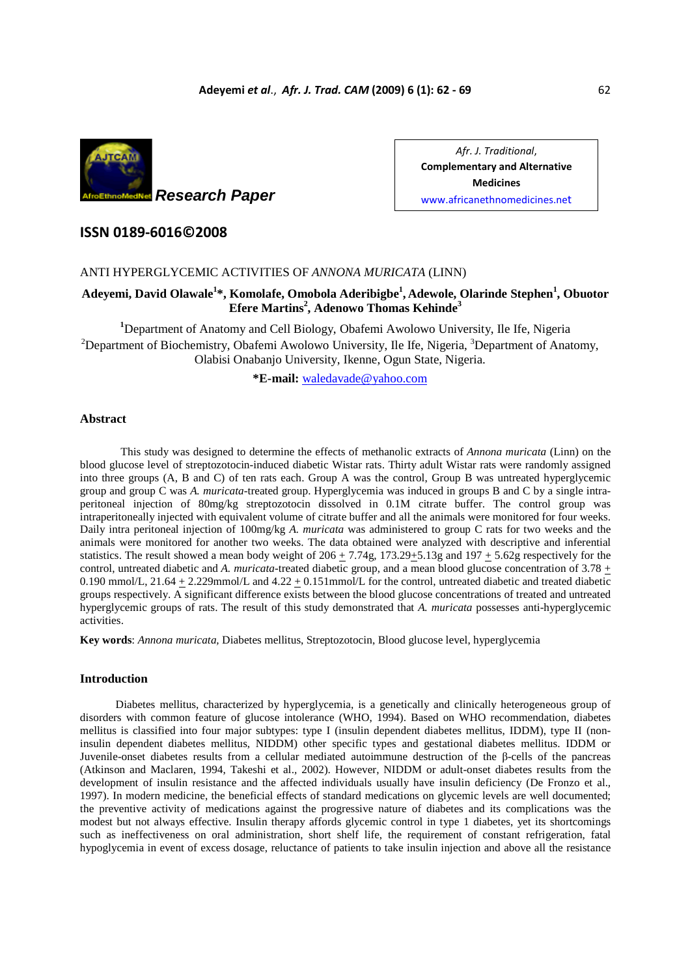

Afr. J. Traditional, Complementary and Alternative Medicines www.africanethnomedicines.net

# ISSN 0189-6016©2008

# ANTI HYPERGLYCEMIC ACTIVITIES OF *ANNONA MURICATA* (LINN)

# **Adeyemi, David Olawale<sup>1</sup> \*, Komolafe, Omobola Aderibigbe<sup>1</sup> , Adewole, Olarinde Stephen<sup>1</sup> , Obuotor Efere Martins<sup>2</sup> , Adenowo Thomas Kehinde<sup>3</sup>**

**<sup>1</sup>**Department of Anatomy and Cell Biology, Obafemi Awolowo University, Ile Ife, Nigeria <sup>2</sup>Department of Biochemistry, Obafemi Awolowo University, Ile Ife, Nigeria, <sup>3</sup>Department of Anatomy, Olabisi Onabanjo University, Ikenne, Ogun State, Nigeria.

**\*E-mail:** waledavade@yahoo.com

# **Abstract**

 This study was designed to determine the effects of methanolic extracts of *Annona muricata* (Linn) on the blood glucose level of streptozotocin-induced diabetic Wistar rats. Thirty adult Wistar rats were randomly assigned into three groups (A, B and C) of ten rats each. Group A was the control, Group B was untreated hyperglycemic group and group C was *A. muricata-*treated group. Hyperglycemia was induced in groups B and C by a single intraperitoneal injection of 80mg/kg streptozotocin dissolved in 0.1M citrate buffer. The control group was intraperitoneally injected with equivalent volume of citrate buffer and all the animals were monitored for four weeks. Daily intra peritoneal injection of 100mg/kg *A. muricata* was administered to group C rats for two weeks and the animals were monitored for another two weeks. The data obtained were analyzed with descriptive and inferential statistics. The result showed a mean body weight of  $206 \pm 7.74$ g, 173.29 $\pm$ 5.13g and 197  $\pm$  5.62g respectively for the control, untreated diabetic and *A. muricata*-treated diabetic group, and a mean blood glucose concentration of  $3.78 \pm$ 0.190 mmol/L,  $21.64 + 2.229$ mmol/L and  $4.22 + 0.151$ mmol/L for the control, untreated diabetic and treated diabetic groups respectively. A significant difference exists between the blood glucose concentrations of treated and untreated hyperglycemic groups of rats. The result of this study demonstrated that *A. muricata* possesses anti-hyperglycemic activities.

**Key words**: *Annona muricata,* Diabetes mellitus, Streptozotocin, Blood glucose level, hyperglycemia

# **Introduction**

Diabetes mellitus, characterized by hyperglycemia, is a genetically and clinically heterogeneous group of disorders with common feature of glucose intolerance (WHO, 1994). Based on WHO recommendation, diabetes mellitus is classified into four major subtypes: type I (insulin dependent diabetes mellitus, IDDM), type II (noninsulin dependent diabetes mellitus, NIDDM) other specific types and gestational diabetes mellitus. IDDM or Juvenile-onset diabetes results from a cellular mediated autoimmune destruction of the β-cells of the pancreas (Atkinson and Maclaren, 1994, Takeshi et al.*,* 2002). However, NIDDM or adult-onset diabetes results from the development of insulin resistance and the affected individuals usually have insulin deficiency (De Fronzo et al.*,* 1997). In modern medicine, the beneficial effects of standard medications on glycemic levels are well documented; the preventive activity of medications against the progressive nature of diabetes and its complications was the modest but not always effective. Insulin therapy affords glycemic control in type 1 diabetes, yet its shortcomings such as ineffectiveness on oral administration, short shelf life, the requirement of constant refrigeration, fatal hypoglycemia in event of excess dosage, reluctance of patients to take insulin injection and above all the resistance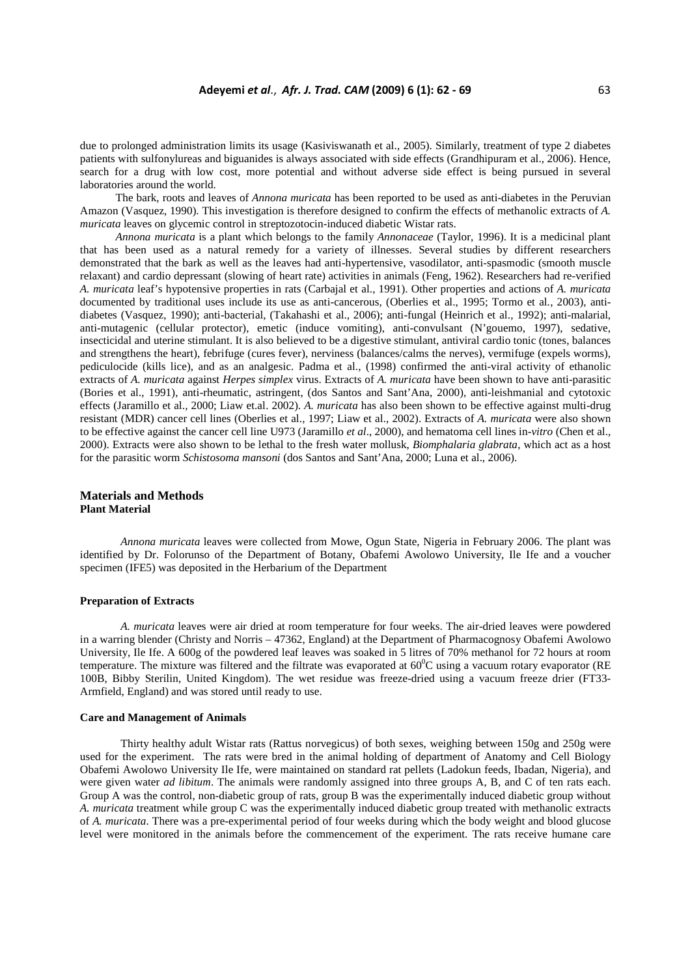due to prolonged administration limits its usage (Kasiviswanath et al., 2005). Similarly, treatment of type 2 diabetes patients with sulfonylureas and biguanides is always associated with side effects (Grandhipuram et al.*,* 2006). Hence, search for a drug with low cost, more potential and without adverse side effect is being pursued in several laboratories around the world.

The bark, roots and leaves of *Annona muricata* has been reported to be used as anti-diabetes in the Peruvian Amazon (Vasquez, 1990). This investigation is therefore designed to confirm the effects of methanolic extracts of *A. muricata* leaves on glycemic control in streptozotocin-induced diabetic Wistar rats.

*Annona muricata* is a plant which belongs to the family *Annonaceae* (Taylor, 1996). It is a medicinal plant that has been used as a natural remedy for a variety of illnesses. Several studies by different researchers demonstrated that the bark as well as the leaves had anti-hypertensive, vasodilator, anti-spasmodic (smooth muscle relaxant) and cardio depressant (slowing of heart rate) activities in animals (Feng, 1962). Researchers had re-verified *A. muricata* leaf's hypotensive properties in rats (Carbajal et al., 1991). Other properties and actions of *A. muricata* documented by traditional uses include its use as anti-cancerous, (Oberlies et al., 1995; Tormo et al*.,* 2003), antidiabetes (Vasquez, 1990); anti-bacterial, (Takahashi et al.*,* 2006); anti-fungal (Heinrich et al.*,* 1992); anti-malarial, anti-mutagenic (cellular protector), emetic (induce vomiting), anti-convulsant (N'gouemo, 1997), sedative, insecticidal and uterine stimulant. It is also believed to be a digestive stimulant, antiviral cardio tonic (tones, balances and strengthens the heart), febrifuge (cures fever), nerviness (balances/calms the nerves), vermifuge (expels worms), pediculocide (kills lice), and as an analgesic. Padma et al.*,* (1998) confirmed the anti-viral activity of ethanolic extracts of *A. muricata* against *Herpes simplex* virus. Extracts of *A. muricata* have been shown to have anti-parasitic (Bories et al., 1991), anti-rheumatic, astringent, (dos Santos and Sant'Ana, 2000), anti-leishmanial and cytotoxic effects (Jaramillo et al.*,* 2000; Liaw et.al. 2002). *A. muricata* has also been shown to be effective against multi-drug resistant (MDR) cancer cell lines (Oberlies et al.*,* 1997; Liaw et al., 2002). Extracts of *A. muricata* were also shown to be effective against the cancer cell line U973 (Jaramillo *et al*., 2000), and hematoma cell lines in*-vitro* (Chen et al.*,* 2000). Extracts were also shown to be lethal to the fresh water mollusk, *Biomphalaria glabrata*, which act as a host for the parasitic worm *Schistosoma mansoni* (dos Santos and Sant'Ana, 2000; Luna et al., 2006).

# **Materials and Methods Plant Material**

*Annona muricata* leaves were collected from Mowe, Ogun State, Nigeria in February 2006. The plant was identified by Dr. Folorunso of the Department of Botany, Obafemi Awolowo University, Ile Ife and a voucher specimen (IFE5) was deposited in the Herbarium of the Department

#### **Preparation of Extracts**

*A. muricata* leaves were air dried at room temperature for four weeks. The air-dried leaves were powdered in a warring blender (Christy and Norris – 47362, England) at the Department of Pharmacognosy Obafemi Awolowo University, Ile Ife. A 600g of the powdered leaf leaves was soaked in 5 litres of 70% methanol for 72 hours at room temperature. The mixture was filtered and the filtrate was evaporated at  $60^{\circ}$ C using a vacuum rotary evaporator (RE 100B, Bibby Sterilin, United Kingdom). The wet residue was freeze-dried using a vacuum freeze drier (FT33- Armfield, England) and was stored until ready to use.

# **Care and Management of Animals**

Thirty healthy adult Wistar rats (Rattus norvegicus) of both sexes, weighing between 150g and 250g were used for the experiment. The rats were bred in the animal holding of department of Anatomy and Cell Biology Obafemi Awolowo University Ile Ife, were maintained on standard rat pellets (Ladokun feeds, Ibadan, Nigeria), and were given water *ad libitum*. The animals were randomly assigned into three groups A, B, and C of ten rats each. Group A was the control, non-diabetic group of rats, group B was the experimentally induced diabetic group without *A. muricata* treatment while group C was the experimentally induced diabetic group treated with methanolic extracts of *A. muricata*. There was a pre-experimental period of four weeks during which the body weight and blood glucose level were monitored in the animals before the commencement of the experiment. The rats receive humane care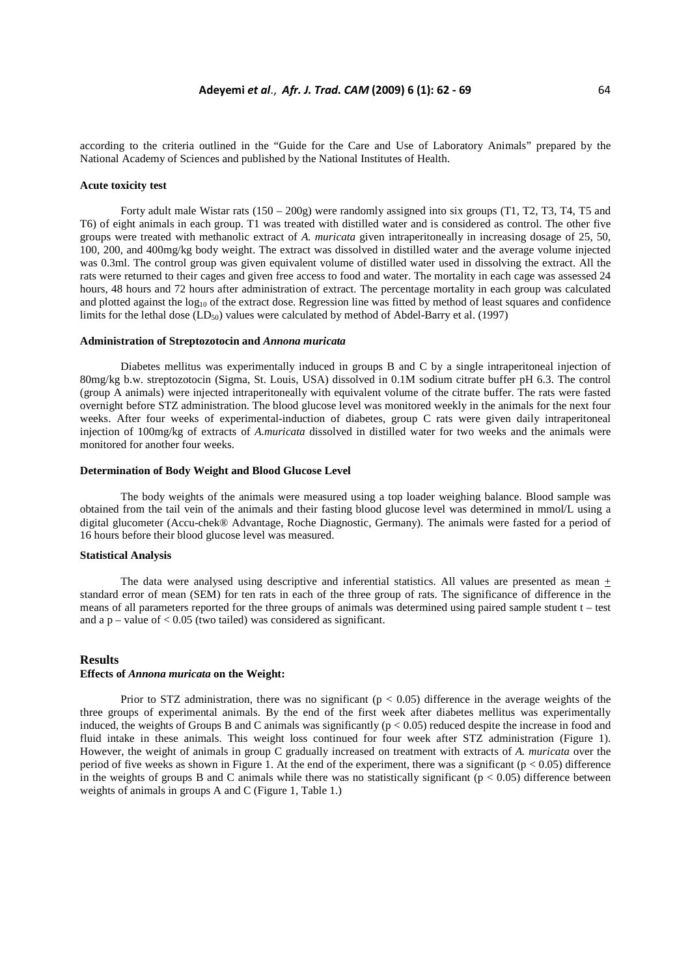according to the criteria outlined in the "Guide for the Care and Use of Laboratory Animals" prepared by the National Academy of Sciences and published by the National Institutes of Health.

#### **Acute toxicity test**

Forty adult male Wistar rats  $(150 - 200g)$  were randomly assigned into six groups (T1, T2, T3, T4, T5 and T6) of eight animals in each group. T1 was treated with distilled water and is considered as control. The other five groups were treated with methanolic extract of *A. muricata* given intraperitoneally in increasing dosage of 25, 50, 100, 200, and 400mg/kg body weight. The extract was dissolved in distilled water and the average volume injected was 0.3ml. The control group was given equivalent volume of distilled water used in dissolving the extract. All the rats were returned to their cages and given free access to food and water. The mortality in each cage was assessed 24 hours, 48 hours and 72 hours after administration of extract. The percentage mortality in each group was calculated and plotted against the  $log_{10}$  of the extract dose. Regression line was fitted by method of least squares and confidence limits for the lethal dose  $\overline{(LD_{50})}$  values were calculated by method of Abdel-Barry et al. (1997)

#### **Administration of Streptozotocin and** *Annona muricata*

Diabetes mellitus was experimentally induced in groups B and C by a single intraperitoneal injection of 80mg/kg b.w. streptozotocin (Sigma, St. Louis, USA) dissolved in 0.1M sodium citrate buffer pH 6.3. The control (group A animals) were injected intraperitoneally with equivalent volume of the citrate buffer. The rats were fasted overnight before STZ administration. The blood glucose level was monitored weekly in the animals for the next four weeks. After four weeks of experimental-induction of diabetes, group C rats were given daily intraperitoneal injection of 100mg/kg of extracts of *A.muricata* dissolved in distilled water for two weeks and the animals were monitored for another four weeks.

#### **Determination of Body Weight and Blood Glucose Level**

The body weights of the animals were measured using a top loader weighing balance. Blood sample was obtained from the tail vein of the animals and their fasting blood glucose level was determined in mmol/L using a digital glucometer (Accu-chek® Advantage, Roche Diagnostic, Germany). The animals were fasted for a period of 16 hours before their blood glucose level was measured.

### **Statistical Analysis**

The data were analysed using descriptive and inferential statistics. All values are presented as mean  $\pm$ standard error of mean (SEM) for ten rats in each of the three group of rats. The significance of difference in the means of all parameters reported for the three groups of animals was determined using paired sample student t – test and a  $p$  – value of  $< 0.05$  (two tailed) was considered as significant.

## **Results**

#### **Effects of** *Annona muricata* **on the Weight:**

Prior to STZ administration, there was no significant ( $p < 0.05$ ) difference in the average weights of the three groups of experimental animals. By the end of the first week after diabetes mellitus was experimentally induced, the weights of Groups B and C animals was significantly  $(p < 0.05)$  reduced despite the increase in food and fluid intake in these animals. This weight loss continued for four week after STZ administration (Figure 1). However, the weight of animals in group C gradually increased on treatment with extracts of *A. muricata* over the period of five weeks as shown in Figure 1. At the end of the experiment, there was a significant ( $p < 0.05$ ) difference in the weights of groups B and C animals while there was no statistically significant ( $p < 0.05$ ) difference between weights of animals in groups A and C (Figure 1, Table 1.)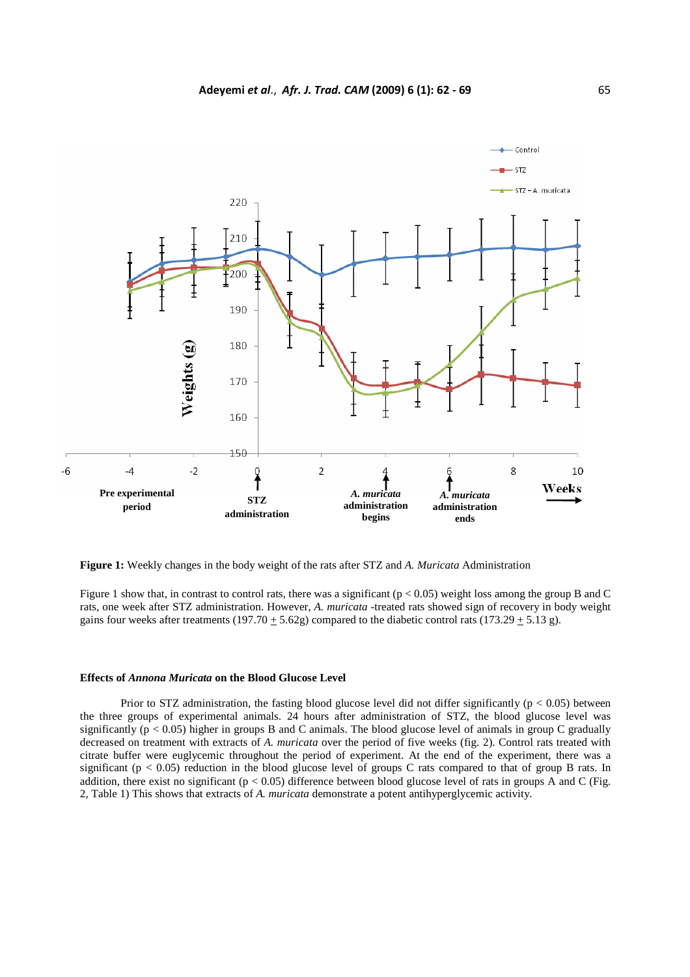

**Figure 1:** Weekly changes in the body weight of the rats after STZ and *A. Muricata* Administration

Figure 1 show that, in contrast to control rats, there was a significant ( $p < 0.05$ ) weight loss among the group B and C rats, one week after STZ administration. However, *A. muricata* -treated rats showed sign of recovery in body weight gains four weeks after treatments (197.70  $\pm$  5.62g) compared to the diabetic control rats (173.29  $\pm$  5.13 g).

## **Effects of** *Annona Muricata* **on the Blood Glucose Level**

Prior to STZ administration, the fasting blood glucose level did not differ significantly ( $p < 0.05$ ) between the three groups of experimental animals. 24 hours after administration of STZ, the blood glucose level was significantly ( $p < 0.05$ ) higher in groups B and C animals. The blood glucose level of animals in group C gradually decreased on treatment with extracts of *A. muricata* over the period of five weeks (fig. 2). Control rats treated with citrate buffer were euglycemic throughout the period of experiment. At the end of the experiment, there was a significant ( $p < 0.05$ ) reduction in the blood glucose level of groups C rats compared to that of group B rats. In addition, there exist no significant ( $p < 0.05$ ) difference between blood glucose level of rats in groups A and C (Fig. 2, Table 1) This shows that extracts of *A. muricata* demonstrate a potent antihyperglycemic activity.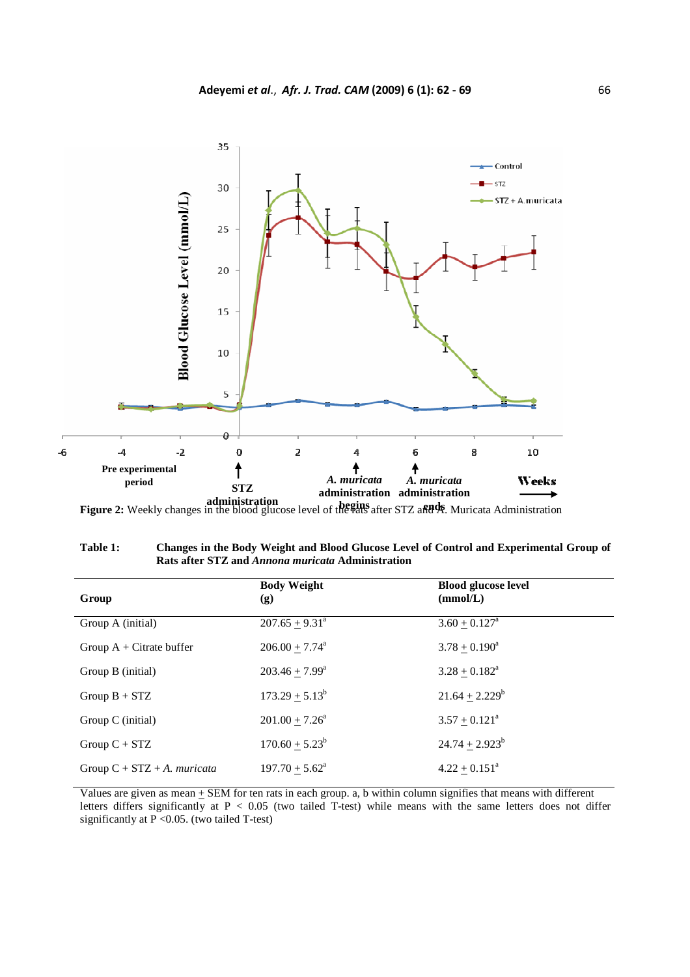

**Figure 2:** Weekly changes in the blood glucose level of the rats after STZ and  $\Phi$ . Muricata Administration **Figure** 

| Table 1: | Changes in the Body Weight and Blood Glucose Level of Control and Experimental Group of |
|----------|-----------------------------------------------------------------------------------------|
|          | Rats after STZ and <i>Annona muricata</i> Administration                                |

| Group                                 | <b>Body Weight</b><br>(g)    | <b>Blood glucose level</b><br>(mmol/L) |
|---------------------------------------|------------------------------|----------------------------------------|
| Group A (initial)                     | $207.65 \pm 9.31^{\circ}$    | $3.60 \pm 0.127^{\text{a}}$            |
| Group $A +$ Citrate buffer            | $206.00 + 7.74$ <sup>a</sup> | $3.78 + 0.190^a$                       |
| Group B (initial)                     | $203.46 + 7.99^a$            | $3.28 \pm 0.182^a$                     |
| $Group B + STZ$                       | $173.29 + 5.13^b$            | $21.64 + 2.229^b$                      |
| Group C (initial)                     | $201.00 \pm 7.26^{\circ}$    | $3.57 \pm 0.121^{\circ}$               |
| $Group C + STZ$                       | $170.60 + 5.23^b$            | $24.74 \pm 2.923^b$                    |
| Group $C + STZ + A$ . <i>muricata</i> | $197.70 \pm 5.62^{\text{a}}$ | $4.22 \pm 0.151^a$                     |

Values are given as mean + SEM for ten rats in each group. a, b within column signifies that means with different letters differs significantly at  $P < 0.05$  (two tailed T-test) while means with the same letters does not differ significantly at  $\vec{P}$  <0.05. (two tailed T-test)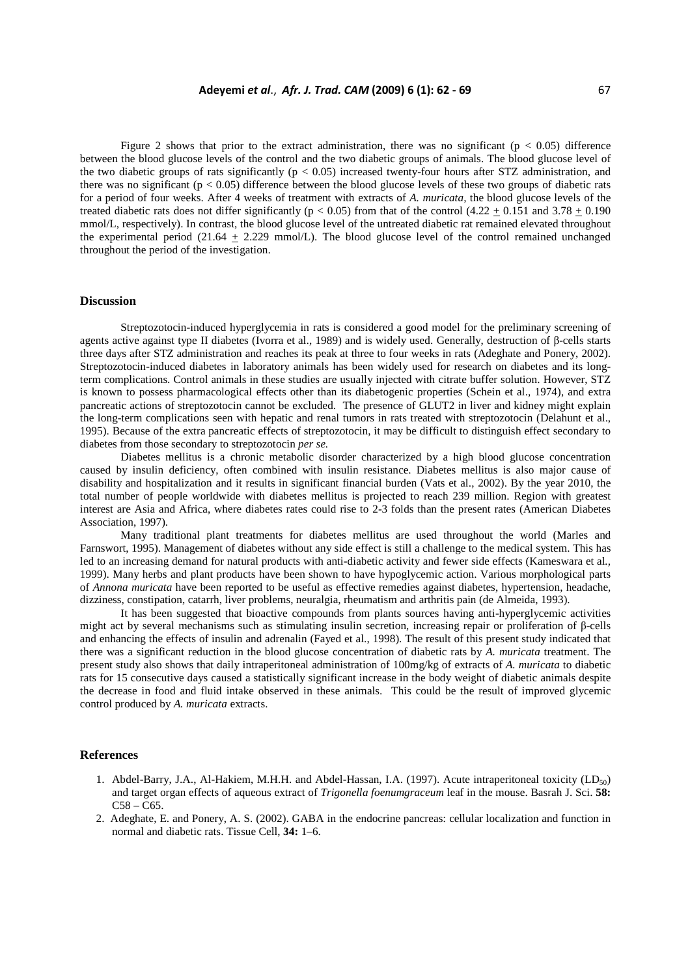Figure 2 shows that prior to the extract administration, there was no significant ( $p < 0.05$ ) difference between the blood glucose levels of the control and the two diabetic groups of animals. The blood glucose level of the two diabetic groups of rats significantly ( $p < 0.05$ ) increased twenty-four hours after STZ administration, and there was no significant ( $p < 0.05$ ) difference between the blood glucose levels of these two groups of diabetic rats for a period of four weeks. After 4 weeks of treatment with extracts of *A. muricata,* the blood glucose levels of the treated diabetic rats does not differ significantly ( $p < 0.05$ ) from that of the control (4.22 + 0.151 and 3.78 + 0.190 mmol/L, respectively). In contrast, the blood glucose level of the untreated diabetic rat remained elevated throughout the experimental period  $(21.64 + 2.229 \text{ mmol/L})$ . The blood glucose level of the control remained unchanged throughout the period of the investigation.

### **Discussion**

Streptozotocin-induced hyperglycemia in rats is considered a good model for the preliminary screening of agents active against type II diabetes (Ivorra et al., 1989) and is widely used. Generally, destruction of β-cells starts three days after STZ administration and reaches its peak at three to four weeks in rats (Adeghate and Ponery, 2002). Streptozotocin-induced diabetes in laboratory animals has been widely used for research on diabetes and its longterm complications. Control animals in these studies are usually injected with citrate buffer solution. However, STZ is known to possess pharmacological effects other than its diabetogenic properties (Schein et al.*,* 1974), and extra pancreatic actions of streptozotocin cannot be excluded. The presence of GLUT2 in liver and kidney might explain the long-term complications seen with hepatic and renal tumors in rats treated with streptozotocin (Delahunt et al., 1995). Because of the extra pancreatic effects of streptozotocin, it may be difficult to distinguish effect secondary to diabetes from those secondary to streptozotocin *per se.*

Diabetes mellitus is a chronic metabolic disorder characterized by a high blood glucose concentration caused by insulin deficiency, often combined with insulin resistance. Diabetes mellitus is also major cause of disability and hospitalization and it results in significant financial burden (Vats et al., 2002). By the year 2010, the total number of people worldwide with diabetes mellitus is projected to reach 239 million. Region with greatest interest are Asia and Africa, where diabetes rates could rise to 2-3 folds than the present rates (American Diabetes Association, 1997).

Many traditional plant treatments for diabetes mellitus are used throughout the world (Marles and Farnswort, 1995). Management of diabetes without any side effect is still a challenge to the medical system. This has led to an increasing demand for natural products with anti-diabetic activity and fewer side effects (Kameswara et al*.,*  1999). Many herbs and plant products have been shown to have hypoglycemic action. Various morphological parts of *Annona muricata* have been reported to be useful as effective remedies against diabetes, hypertension, headache, dizziness, constipation, catarrh, liver problems, neuralgia, rheumatism and arthritis pain (de Almeida, 1993).

It has been suggested that bioactive compounds from plants sources having anti-hyperglycemic activities might act by several mechanisms such as stimulating insulin secretion, increasing repair or proliferation of β-cells and enhancing the effects of insulin and adrenalin (Fayed et al., 1998). The result of this present study indicated that there was a significant reduction in the blood glucose concentration of diabetic rats by *A. muricata* treatment. The present study also shows that daily intraperitoneal administration of 100mg/kg of extracts of *A. muricata* to diabetic rats for 15 consecutive days caused a statistically significant increase in the body weight of diabetic animals despite the decrease in food and fluid intake observed in these animals. This could be the result of improved glycemic control produced by *A. muricata* extracts.

## **References**

- 1. Abdel-Barry, J.A., Al-Hakiem, M.H.H. and Abdel-Hassan, I.A. (1997). Acute intraperitoneal toxicity (LD<sub>50</sub>) and target organ effects of aqueous extract of *Trigonella foenumgraceum* leaf in the mouse. Basrah J. Sci. **58:**   $C58 - C65.$
- 2. Adeghate, E. and Ponery, A. S. (2002). GABA in the endocrine pancreas: cellular localization and function in normal and diabetic rats. Tissue Cell, **34:** 1–6.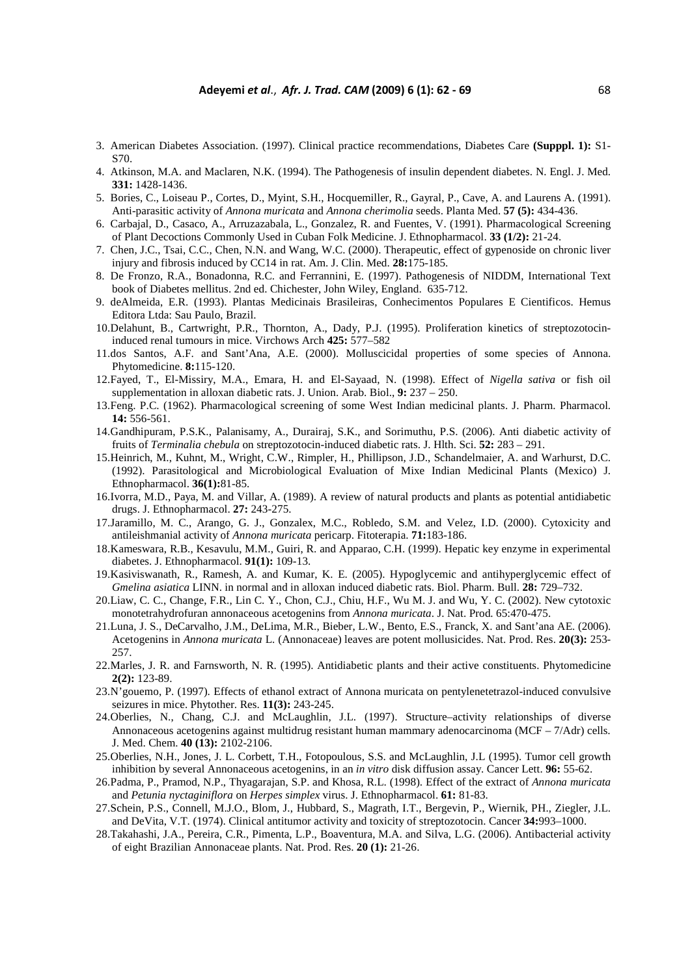- 3. American Diabetes Association. (1997). Clinical practice recommendations, Diabetes Care **(Supppl. 1):** S1- S70.
- 4. Atkinson, M.A. and Maclaren, N.K. (1994). The Pathogenesis of insulin dependent diabetes. N. Engl. J. Med. **331:** 1428-1436.
- 5. Bories, C., Loiseau P., Cortes, D., Myint, S.H., Hocquemiller, R., Gayral, P., Cave, A. and Laurens A. (1991). Anti-parasitic activity of *Annona muricata* and *Annona cherimolia* seeds. Planta Med. **57 (5):** 434-436.
- 6. Carbajal, D., Casaco, A., Arruzazabala, L., Gonzalez, R. and Fuentes, V. (1991). Pharmacological Screening of Plant Decoctions Commonly Used in Cuban Folk Medicine. J. Ethnopharmacol. **33 (1/2):** 21-24.
- 7. Chen, J.C., Tsai, C.C., Chen, N.N. and Wang, W.C. (2000). Therapeutic, effect of gypenoside on chronic liver injury and fibrosis induced by CC14 in rat. Am. J. Clin. Med. **28:**175-185.
- 8. De Fronzo, R.A., Bonadonna, R.C. and Ferrannini, E. (1997). Pathogenesis of NIDDM, International Text book of Diabetes mellitus. 2nd ed. Chichester, John Wiley, England. 635-712.
- 9. deAlmeida, E.R. (1993). Plantas Medicinais Brasileiras, Conhecimentos Populares E Cientificos. Hemus Editora Ltda: Sau Paulo, Brazil.
- 10.Delahunt, B., Cartwright, P.R., Thornton, A., Dady, P.J. (1995). Proliferation kinetics of streptozotocininduced renal tumours in mice. Virchows Arch **425:** 577–582
- 11.dos Santos, A.F. and Sant'Ana, A.E. (2000). Molluscicidal properties of some species of Annona. Phytomedicine. **8:**115-120.
- 12.Fayed, T., El-Missiry, M.A., Emara, H. and El-Sayaad, N. (1998). Effect of *Nigella sativa* or fish oil supplementation in alloxan diabetic rats. J. Union. Arab. Biol., **9:** 237 – 250.
- 13.Feng. P.C. (1962). Pharmacological screening of some West Indian medicinal plants. J. Pharm. Pharmacol. **14:** 556-561.
- 14.Gandhipuram, P.S.K., Palanisamy, A., Durairaj, S.K., and Sorimuthu, P.S. (2006). Anti diabetic activity of fruits of *Terminalia chebula* on streptozotocin-induced diabetic rats. J. Hlth. Sci. **52:** 283 – 291.
- 15.Heinrich, M., Kuhnt, M., Wright, C.W., Rimpler, H., Phillipson, J.D., Schandelmaier, A. and Warhurst, D.C. (1992). Parasitological and Microbiological Evaluation of Mixe Indian Medicinal Plants (Mexico) J. Ethnopharmacol. **36(1):**81-85.
- 16.Ivorra, M.D., Paya, M. and Villar, A. (1989). A review of natural products and plants as potential antidiabetic drugs. J. Ethnopharmacol. **27:** 243-275.
- 17.Jaramillo, M. C., Arango, G. J., Gonzalex, M.C., Robledo, S.M. and Velez, I.D. (2000). Cytoxicity and antileishmanial activity of *Annona muricata* pericarp. Fitoterapia. **71:**183-186.
- 18.Kameswara, R.B., Kesavulu, M.M., Guiri, R. and Apparao, C.H. (1999). Hepatic key enzyme in experimental diabetes. J. Ethnopharmacol. **91(1):** 109-13.
- 19.Kasiviswanath, R., Ramesh, A. and Kumar, K. E. (2005). Hypoglycemic and antihyperglycemic effect of *Gmelina asiatica* LINN. in normal and in alloxan induced diabetic rats. Biol. Pharm. Bull. **28:** 729–732.
- 20.Liaw, C. C., Change, F.R., Lin C. Y., Chon, C.J., Chiu, H.F., Wu M. J. and Wu, Y. C. (2002). New cytotoxic monotetrahydrofuran annonaceous acetogenins from *Annona muricata*. J. Nat. Prod. 65:470-475.
- 21.Luna, J. S., DeCarvalho, J.M., DeLima, M.R., Bieber, L.W., Bento, E.S., Franck, X. and Sant'ana AE. (2006). Acetogenins in *Annona muricata* L. (Annonaceae) leaves are potent mollusicides. Nat. Prod. Res. **20(3):** 253- 257.
- 22.Marles, J. R. and Farnsworth, N. R. (1995). Antidiabetic plants and their active constituents. Phytomedicine **2(2):** 123-89.
- 23.N'gouemo, P. (1997). Effects of ethanol extract of Annona muricata on pentylenetetrazol-induced convulsive seizures in mice. Phytother. Res. **11(3):** 243-245.
- 24.Oberlies, N., Chang, C.J. and McLaughlin, J.L. (1997). Structure–activity relationships of diverse Annonaceous acetogenins against multidrug resistant human mammary adenocarcinoma (MCF – 7/Adr) cells*.*  J. Med. Chem. **40 (13):** 2102-2106.
- 25.Oberlies, N.H., Jones, J. L. Corbett, T.H., Fotopoulous, S.S. and McLaughlin, J.L (1995). Tumor cell growth inhibition by several Annonaceous acetogenins, in an *in vitro* disk diffusion assay. Cancer Lett. **96:** 55-62.
- 26.Padma, P., Pramod, N.P., Thyagarajan, S.P. and Khosa, R.L. (1998). Effect of the extract of *Annona muricata* and *Petunia nyctaginiflora* on *Herpes simplex* virus. J. Ethnopharmacol. **61:** 81-83.
- 27.Schein, P.S., Connell, M.J.O., Blom, J., Hubbard, S., Magrath, I.T., Bergevin, P., Wiernik, PH., Ziegler, J.L. and DeVita, V.T. (1974). Clinical antitumor activity and toxicity of streptozotocin. Cancer **34:**993–1000.
- 28.Takahashi, J.A., Pereira, C.R., Pimenta, L.P., Boaventura, M.A. and Silva, L.G. (2006). Antibacterial activity of eight Brazilian Annonaceae plants. Nat. Prod. Res. **20 (1):** 21-26.